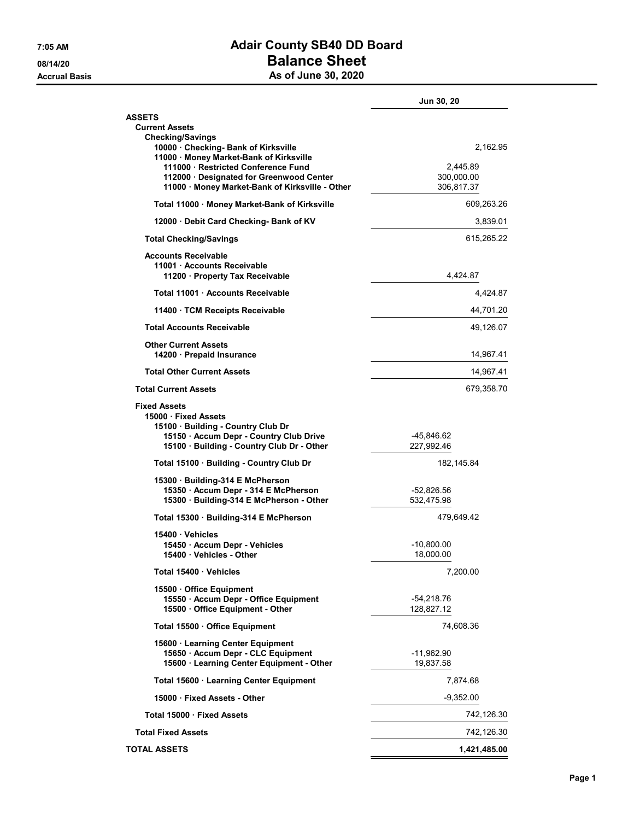## 7:05 AM Adair County SB40 DD Board 08/14/20 **Balance Sheet** Accrual Basis **As of June 30, 2020**

|                                                                                                                                                                        | Jun 30, 20                |           |
|------------------------------------------------------------------------------------------------------------------------------------------------------------------------|---------------------------|-----------|
| <b>ASSETS</b><br><b>Current Assets</b>                                                                                                                                 |                           |           |
| <b>Checking/Savings</b><br>10000 Checking- Bank of Kirksville<br>11000 · Money Market-Bank of Kirksville                                                               |                           | 2,162.95  |
| 111000 Restricted Conference Fund<br>112000 · Designated for Greenwood Center<br>11000 Money Market-Bank of Kirksville - Other                                         | 300,000.00<br>306,817.37  | 2.445.89  |
| Total 11000 · Money Market-Bank of Kirksville                                                                                                                          | 609,263.26                |           |
| 12000 Debit Card Checking- Bank of KV                                                                                                                                  | 3,839.01                  |           |
| <b>Total Checking/Savings</b>                                                                                                                                          | 615,265.22                |           |
| <b>Accounts Receivable</b><br>11001 Accounts Receivable<br>11200 Property Tax Receivable                                                                               | 4,424.87                  |           |
| Total 11001 Accounts Receivable                                                                                                                                        |                           | 4,424.87  |
| 11400 · TCM Receipts Receivable                                                                                                                                        | 44,701.20                 |           |
| <b>Total Accounts Receivable</b>                                                                                                                                       |                           | 49,126.07 |
| <b>Other Current Assets</b><br>14200 Prepaid Insurance                                                                                                                 | 14,967.41                 |           |
| <b>Total Other Current Assets</b>                                                                                                                                      | 14,967.41                 |           |
| <b>Total Current Assets</b>                                                                                                                                            | 679,358.70                |           |
| <b>Fixed Assets</b><br>15000 Fixed Assets<br>15100 Building - Country Club Dr<br>15150 · Accum Depr - Country Club Drive<br>15100 · Building - Country Club Dr - Other | -45,846.62<br>227,992.46  |           |
| Total 15100 · Building - Country Club Dr                                                                                                                               | 182, 145.84               |           |
| 15300 Building-314 E McPherson                                                                                                                                         |                           |           |
| 15350 · Accum Depr - 314 E McPherson<br>15300 · Building-314 E McPherson - Other                                                                                       | -52,826.56<br>532.475.98  |           |
| Total 15300 Building-314 E McPherson                                                                                                                                   | 479,649.42                |           |
| 15400 Vehicles<br>15450 Accum Depr - Vehicles<br>15400 · Vehicles - Other                                                                                              | -10,800.00<br>18,000.00   |           |
| Total 15400 Vehicles                                                                                                                                                   | 7,200.00                  |           |
| 15500 Office Equipment<br>15550 · Accum Depr - Office Equipment<br>15500 Office Equipment - Other                                                                      | -54,218.76<br>128,827.12  |           |
| Total 15500 Office Equipment                                                                                                                                           | 74,608.36                 |           |
| 15600 · Learning Center Equipment                                                                                                                                      |                           |           |
| 15650 · Accum Depr - CLC Equipment<br>15600 · Learning Center Equipment - Other                                                                                        | $-11,962.90$<br>19,837.58 |           |
| Total 15600 · Learning Center Equipment                                                                                                                                | 7,874.68                  |           |
| 15000 Fixed Assets - Other                                                                                                                                             | $-9,352.00$               |           |
| Total 15000 · Fixed Assets                                                                                                                                             | 742,126.30                |           |
| <b>Total Fixed Assets</b>                                                                                                                                              | 742,126.30                |           |
| <b>TOTAL ASSETS</b>                                                                                                                                                    | 1,421,485.00              |           |